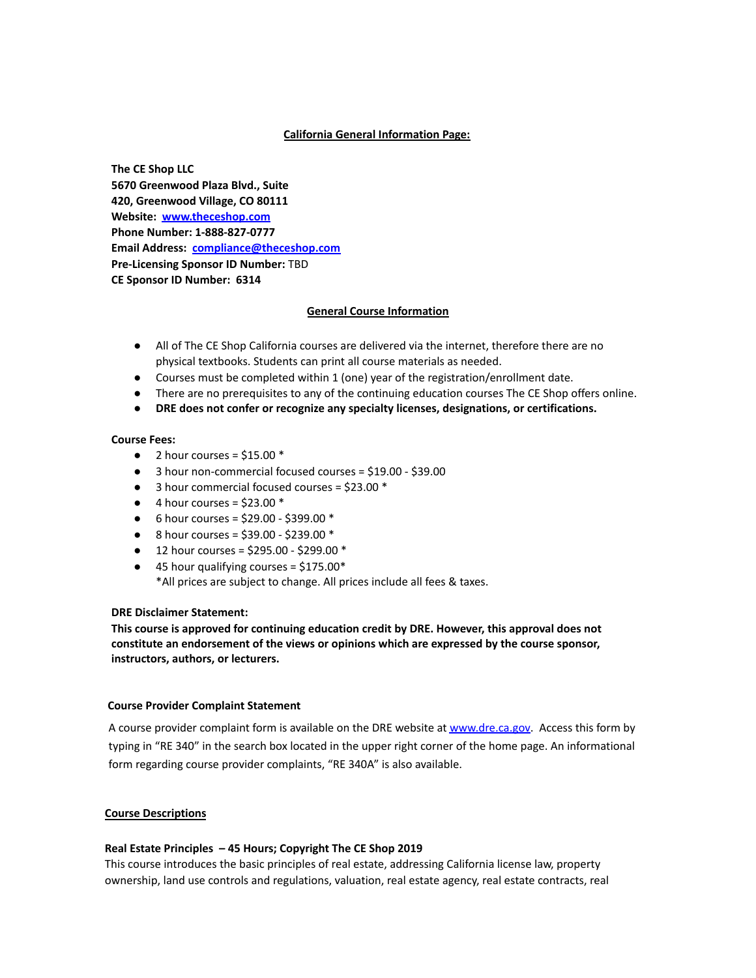# **California General Information Page:**

**The CE Shop LLC 5670 Greenwood Plaza Blvd., Suite 420, Greenwood Village, CO 80111 Website: [www.theceshop.com](http://www.theceshop.com/) Phone Number: 1-888-827-0777 Email Address: [compliance@theceshop.com](mailto:compliance@theceshop.com) Pre-Licensing Sponsor ID Number:** TBD **CE Sponsor ID Number: 6314**

# **General Course Information**

- All of The CE Shop California courses are delivered via the internet, therefore there are no physical textbooks. Students can print all course materials as needed.
- Courses must be completed within 1 (one) year of the registration/enrollment date.
- There are no prerequisites to any of the continuing education courses The CE Shop offers online.
- **DRE does not confer or recognize any specialty licenses, designations, or certifications.**

## **Course Fees:**

- $\bullet$  2 hour courses = \$15.00  $^*$
- 3 hour non-commercial focused courses = \$19.00 \$39.00
- 3 hour commercial focused courses = \$23.00 \*
- $\bullet$  4 hour courses = \$23.00  $*$
- $\bullet$  6 hour courses = \$29.00 \$399.00  $^*$
- 8 hour courses =  $$39.00 $239.00 *$
- $\bullet$  12 hour courses = \$295.00 \$299.00  $^*$
- $\bullet$  45 hour qualifying courses = \$175.00\* \*All prices are subject to change. All prices include all fees & taxes.

# **DRE Disclaimer Statement:**

**This course is approved for continuing education credit by DRE. However, this approval does not constitute an endorsement of the views or opinions which are expressed by the course sponsor, instructors, authors, or lecturers.**

### **Course Provider Complaint Statement**

A course provider complaint form is available on the DRE website at [www.dre.ca.gov.](http://www.dre.ca.gov) Access this form by typing in "RE 340" in the search box located in the upper right corner of the home page. An informational form regarding course provider complaints, "RE 340A" is also available.

### **Course Descriptions**

# **Real Estate Principles – 45 Hours; Copyright The CE Shop 2019**

This course introduces the basic principles of real estate, addressing California license law, property ownership, land use controls and regulations, valuation, real estate agency, real estate contracts, real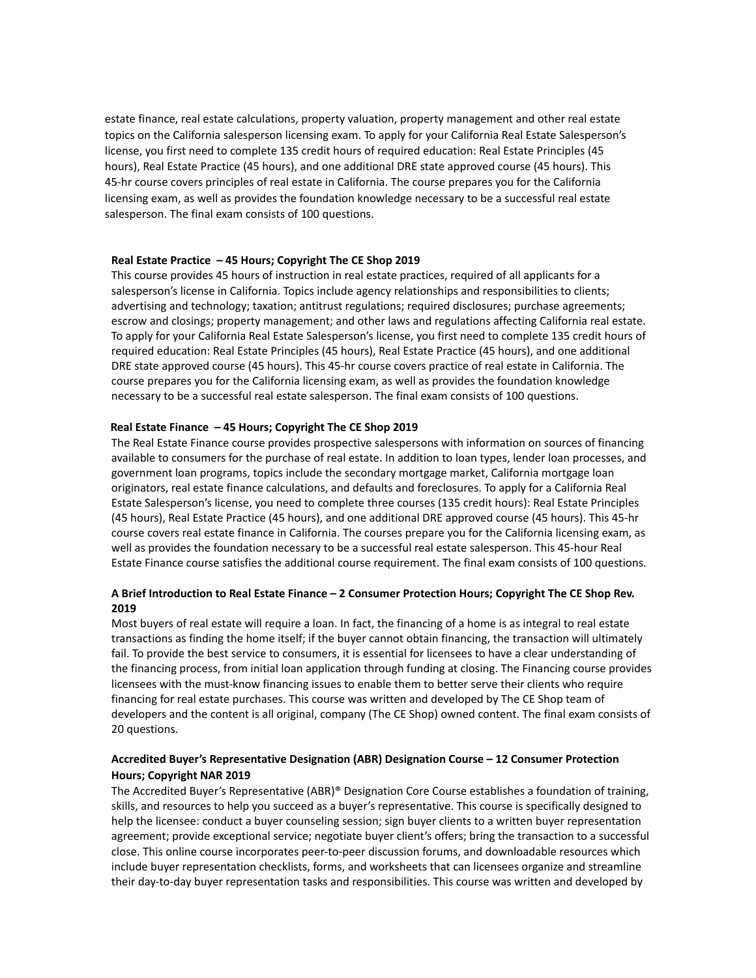estate finance, real estate calculations, property valuation, property management and other real estate topics on the California salesperson licensing exam. To apply for your California Real Estate Salesperson's license, you first need to complete 135 credit hours of required education: Real Estate Principles (45 hours), Real Estate Practice (45 hours), and one additional DRE state approved course (45 hours). This 45-hr course covers principles of real estate in California. The course prepares you for the California licensing exam, as well as provides the foundation knowledge necessary to be a successful real estate salesperson. The final exam consists of 100 questions.

### **Real Estate Practice – 45 Hours; Copyright The CE Shop 2019**

This course provides 45 hours of instruction in real estate practices, required of all applicants for a salesperson's license in California. Topics include agency relationships and responsibilities to clients; advertising and technology; taxation; antitrust regulations; required disclosures; purchase agreements; escrow and closings; property management; and other laws and regulations affecting California real estate. To apply for your California Real Estate Salesperson's license, you first need to complete 135 credit hours of required education: Real Estate Principles (45 hours), Real Estate Practice (45 hours), and one additional DRE state approved course (45 hours). This 45-hr course covers practice of real estate in California. The course prepares you for the California licensing exam, as well as provides the foundation knowledge necessary to be a successful real estate salesperson. The final exam consists of 100 questions.

## **Real Estate Finance – 45 Hours; Copyright The CE Shop 2019**

The Real Estate Finance course provides prospective salespersons with information on sources of financing available to consumers for the purchase of real estate. In addition to loan types, lender loan processes, and government loan programs, topics include the secondary mortgage market, California mortgage loan originators, real estate finance calculations, and defaults and foreclosures. To apply for a California Real Estate Salesperson's license, you need to complete three courses (135 credit hours): Real Estate Principles (45 hours), Real Estate Practice (45 hours), and one additional DRE approved course (45 hours). This 45-hr course covers real estate finance in California. The courses prepare you for the California licensing exam, as well as provides the foundation necessary to be a successful real estate salesperson. This 45-hour Real Estate Finance course satisfies the additional course requirement. The final exam consists of 100 questions.

# **A Brief Introduction to Real Estate Finance – 2 Consumer Protection Hours; Copyright The CE Shop Rev. 2019**

Most buyers of real estate will require a loan. In fact, the financing of a home is as integral to real estate transactions as finding the home itself; if the buyer cannot obtain financing, the transaction will ultimately fail. To provide the best service to consumers, it is essential for licensees to have a clear understanding of the financing process, from initial loan application through funding at closing. The Financing course provides licensees with the must-know financing issues to enable them to better serve their clients who require financing for real estate purchases. This course was written and developed by The CE Shop team of developers and the content is all original, company (The CE Shop) owned content. The final exam consists of 20 questions.

# **Accredited Buyer's Representative Designation (ABR) Designation Course – 12 Consumer Protection Hours; Copyright NAR 2019**

The Accredited Buyer's Representative (ABR)® Designation Core Course establishes a foundation of training, skills, and resources to help you succeed as a buyer's representative. This course is specifically designed to help the licensee: conduct a buyer counseling session; sign buyer clients to a written buyer representation agreement; provide exceptional service; negotiate buyer client's offers; bring the transaction to a successful close. This online course incorporates peer-to-peer discussion forums, and downloadable resources which include buyer representation checklists, forms, and worksheets that can licensees organize and streamline their day-to-day buyer representation tasks and responsibilities. This course was written and developed by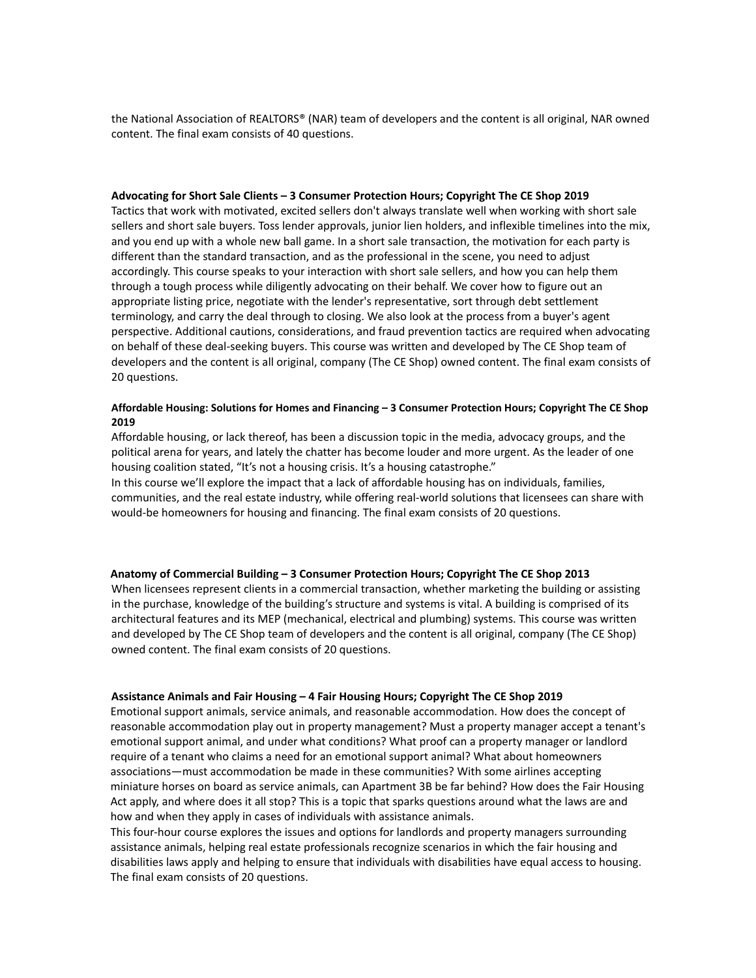the National Association of REALTORS® (NAR) team of developers and the content is all original, NAR owned content. The final exam consists of 40 questions.

#### **Advocating for Short Sale Clients – 3 Consumer Protection Hours; Copyright The CE Shop 2019**

Tactics that work with motivated, excited sellers don't always translate well when working with short sale sellers and short sale buyers. Toss lender approvals, junior lien holders, and inflexible timelines into the mix, and you end up with a whole new ball game. In a short sale transaction, the motivation for each party is different than the standard transaction, and as the professional in the scene, you need to adjust accordingly. This course speaks to your interaction with short sale sellers, and how you can help them through a tough process while diligently advocating on their behalf. We cover how to figure out an appropriate listing price, negotiate with the lender's representative, sort through debt settlement terminology, and carry the deal through to closing. We also look at the process from a buyer's agent perspective. Additional cautions, considerations, and fraud prevention tactics are required when advocating on behalf of these deal-seeking buyers. This course was written and developed by The CE Shop team of developers and the content is all original, company (The CE Shop) owned content. The final exam consists of 20 questions.

### **Affordable Housing: Solutions for Homes and Financing – 3 Consumer Protection Hours; Copyright The CE Shop 2019**

Affordable housing, or lack thereof, has been a discussion topic in the media, advocacy groups, and the political arena for years, and lately the chatter has become louder and more urgent. As the leader of one housing coalition stated, "It's not a housing crisis. It's a housing catastrophe."

In this course we'll explore the impact that a lack of affordable housing has on individuals, families, communities, and the real estate industry, while offering real-world solutions that licensees can share with would-be homeowners for housing and financing. The final exam consists of 20 questions.

## **Anatomy of Commercial Building – 3 Consumer Protection Hours; Copyright The CE Shop 2013**

When licensees represent clients in a commercial transaction, whether marketing the building or assisting in the purchase, knowledge of the building's structure and systems is vital. A building is comprised of its architectural features and its MEP (mechanical, electrical and plumbing) systems. This course was written and developed by The CE Shop team of developers and the content is all original, company (The CE Shop) owned content. The final exam consists of 20 questions.

### **Assistance Animals and Fair Housing – 4 Fair Housing Hours; Copyright The CE Shop 2019**

Emotional support animals, service animals, and reasonable accommodation. How does the concept of reasonable accommodation play out in property management? Must a property manager accept a tenant's emotional support animal, and under what conditions? What proof can a property manager or landlord require of a tenant who claims a need for an emotional support animal? What about homeowners associations—must accommodation be made in these communities? With some airlines accepting miniature horses on board as service animals, can Apartment 3B be far behind? How does the Fair Housing Act apply, and where does it all stop? This is a topic that sparks questions around what the laws are and how and when they apply in cases of individuals with assistance animals.

This four-hour course explores the issues and options for landlords and property managers surrounding assistance animals, helping real estate professionals recognize scenarios in which the fair housing and disabilities laws apply and helping to ensure that individuals with disabilities have equal access to housing. The final exam consists of 20 questions.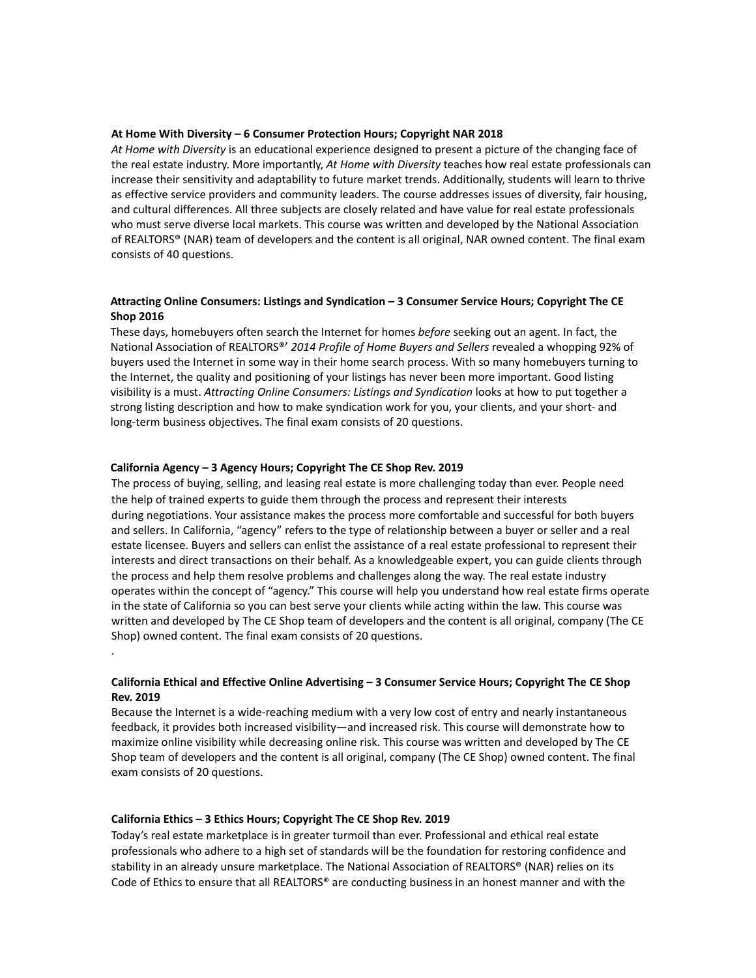#### **At Home With Diversity – 6 Consumer Protection Hours; Copyright NAR 2018**

*At Home with Diversity* is an educational experience designed to present a picture of the changing face of the real estate industry. More importantly, *At Home with Diversity* teaches how real estate professionals can increase their sensitivity and adaptability to future market trends. Additionally, students will learn to thrive as effective service providers and community leaders. The course addresses issues of diversity, fair housing, and cultural differences. All three subjects are closely related and have value for real estate professionals who must serve diverse local markets. This course was written and developed by the National Association of REALTORS® (NAR) team of developers and the content is all original, NAR owned content. The final exam consists of 40 questions.

## **Attracting Online Consumers: Listings and Syndication – 3 Consumer Service Hours; Copyright The CE Shop 2016**

These days, homebuyers often search the Internet for homes *before* seeking out an agent. In fact, the National Association of REALTORS®' *2014 Profile of Home Buyers and Sellers* revealed a whopping 92% of buyers used the Internet in some way in their home search process. With so many homebuyers turning to the Internet, the quality and positioning of your listings has never been more important. Good listing visibility is a must. *Attracting Online Consumers: Listings and Syndication* looks at how to put together a strong listing description and how to make syndication work for you, your clients, and your short- and long-term business objectives. The final exam consists of 20 questions.

### **California Agency – 3 Agency Hours; Copyright The CE Shop Rev. 2019**

The process of buying, selling, and leasing real estate is more challenging today than ever. People need the help of trained experts to guide them through the process and represent their interests during negotiations. Your assistance makes the process more comfortable and successful for both buyers and sellers. In California, "agency" refers to the type of relationship between a buyer or seller and a real estate licensee. Buyers and sellers can enlist the assistance of a real estate professional to represent their interests and direct transactions on their behalf. As a knowledgeable expert, you can guide clients through the process and help them resolve problems and challenges along the way. The real estate industry operates within the concept of "agency." This course will help you understand how real estate firms operate in the state of California so you can best serve your clients while acting within the law. This course was written and developed by The CE Shop team of developers and the content is all original, company (The CE Shop) owned content. The final exam consists of 20 questions.

## **California Ethical and Effective Online Advertising – 3 Consumer Service Hours; Copyright The CE Shop Rev. 2019**

Because the Internet is a wide-reaching medium with a very low cost of entry and nearly instantaneous feedback, it provides both increased visibility—and increased risk. This course will demonstrate how to maximize online visibility while decreasing online risk. This course was written and developed by The CE Shop team of developers and the content is all original, company (The CE Shop) owned content. The final exam consists of 20 questions.

#### **California Ethics – 3 Ethics Hours; Copyright The CE Shop Rev. 2019**

.

Today's real estate marketplace is in greater turmoil than ever. Professional and ethical real estate professionals who adhere to a high set of standards will be the foundation for restoring confidence and stability in an already unsure marketplace. The National Association of REALTORS® (NAR) relies on its Code of Ethics to ensure that all REALTORS® are conducting business in an honest manner and with the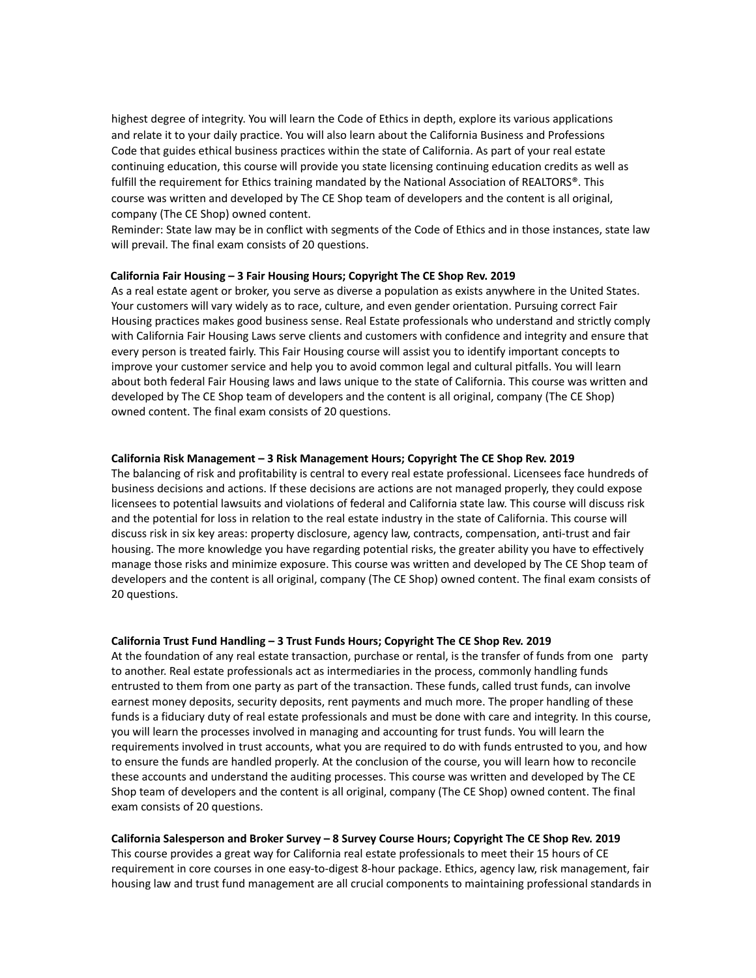highest degree of integrity. You will learn the Code of Ethics in depth, explore its various applications and relate it to your daily practice. You will also learn about the California Business and Professions Code that guides ethical business practices within the state of California. As part of your real estate continuing education, this course will provide you state licensing continuing education credits as well as fulfill the requirement for Ethics training mandated by the National Association of REALTORS<sup>®</sup>. This course was written and developed by The CE Shop team of developers and the content is all original, company (The CE Shop) owned content.

Reminder: State law may be in conflict with segments of the Code of Ethics and in those instances, state law will prevail. The final exam consists of 20 questions.

#### **California Fair Housing – 3 Fair Housing Hours; Copyright The CE Shop Rev. 2019**

As a real estate agent or broker, you serve as diverse a population as exists anywhere in the United States. Your customers will vary widely as to race, culture, and even gender orientation. Pursuing correct Fair Housing practices makes good business sense. Real Estate professionals who understand and strictly comply with California Fair Housing Laws serve clients and customers with confidence and integrity and ensure that every person is treated fairly. This Fair Housing course will assist you to identify important concepts to improve your customer service and help you to avoid common legal and cultural pitfalls. You will learn about both federal Fair Housing laws and laws unique to the state of California. This course was written and developed by The CE Shop team of developers and the content is all original, company (The CE Shop) owned content. The final exam consists of 20 questions.

#### **California Risk Management – 3 Risk Management Hours; Copyright The CE Shop Rev. 2019**

The balancing of risk and profitability is central to every real estate professional. Licensees face hundreds of business decisions and actions. If these decisions are actions are not managed properly, they could expose licensees to potential lawsuits and violations of federal and California state law. This course will discuss risk and the potential for loss in relation to the real estate industry in the state of California. This course will discuss risk in six key areas: property disclosure, agency law, contracts, compensation, anti-trust and fair housing. The more knowledge you have regarding potential risks, the greater ability you have to effectively manage those risks and minimize exposure. This course was written and developed by The CE Shop team of developers and the content is all original, company (The CE Shop) owned content. The final exam consists of 20 questions.

#### **California Trust Fund Handling – 3 Trust Funds Hours; Copyright The CE Shop Rev. 2019**

At the foundation of any real estate transaction, purchase or rental, is the transfer of funds from one party to another. Real estate professionals act as intermediaries in the process, commonly handling funds entrusted to them from one party as part of the transaction. These funds, called trust funds, can involve earnest money deposits, security deposits, rent payments and much more. The proper handling of these funds is a fiduciary duty of real estate professionals and must be done with care and integrity. In this course, you will learn the processes involved in managing and accounting for trust funds. You will learn the requirements involved in trust accounts, what you are required to do with funds entrusted to you, and how to ensure the funds are handled properly. At the conclusion of the course, you will learn how to reconcile these accounts and understand the auditing processes. This course was written and developed by The CE Shop team of developers and the content is all original, company (The CE Shop) owned content. The final exam consists of 20 questions.

### **California Salesperson and Broker Survey – 8 Survey Course Hours; Copyright The CE Shop Rev. 2019**

This course provides a great way for California real estate professionals to meet their 15 hours of CE requirement in core courses in one easy-to-digest 8-hour package. Ethics, agency law, risk management, fair housing law and trust fund management are all crucial components to maintaining professional standards in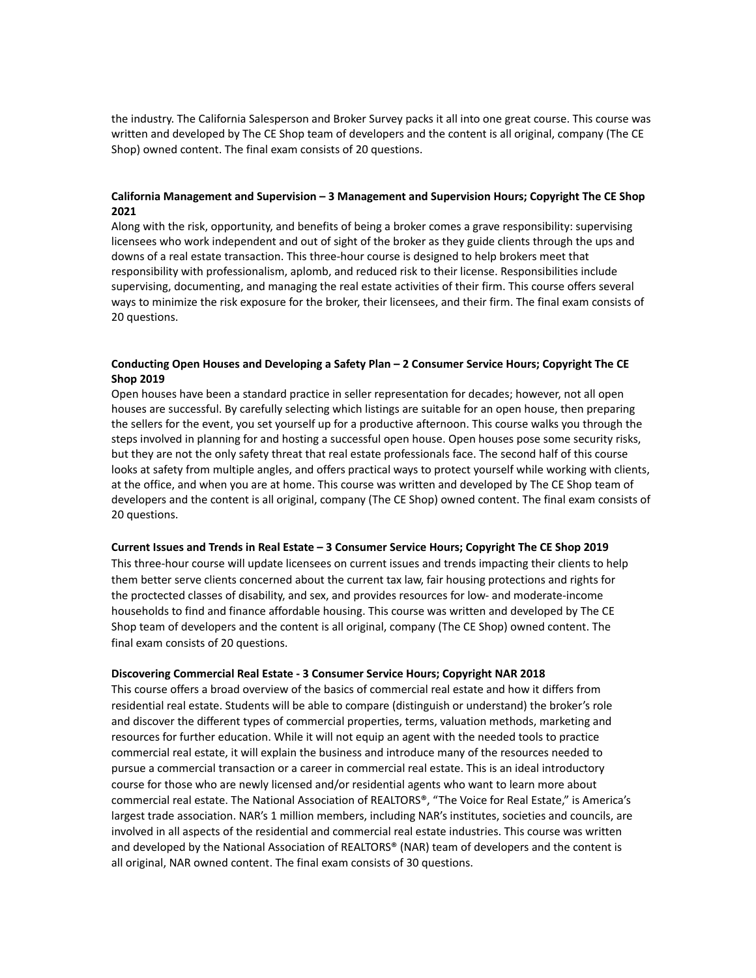the industry. The California Salesperson and Broker Survey packs it all into one great course. This course was written and developed by The CE Shop team of developers and the content is all original, company (The CE Shop) owned content. The final exam consists of 20 questions.

## **California Management and Supervision – 3 Management and Supervision Hours; Copyright The CE Shop 2021**

Along with the risk, opportunity, and benefits of being a broker comes a grave responsibility: supervising licensees who work independent and out of sight of the broker as they guide clients through the ups and downs of a real estate transaction. This three-hour course is designed to help brokers meet that responsibility with professionalism, aplomb, and reduced risk to their license. Responsibilities include supervising, documenting, and managing the real estate activities of their firm. This course offers several ways to minimize the risk exposure for the broker, their licensees, and their firm. The final exam consists of 20 questions.

## **Conducting Open Houses and Developing a Safety Plan – 2 Consumer Service Hours; Copyright The CE Shop 2019**

Open houses have been a standard practice in seller representation for decades; however, not all open houses are successful. By carefully selecting which listings are suitable for an open house, then preparing the sellers for the event, you set yourself up for a productive afternoon. This course walks you through the steps involved in planning for and hosting a successful open house. Open houses pose some security risks, but they are not the only safety threat that real estate professionals face. The second half of this course looks at safety from multiple angles, and offers practical ways to protect yourself while working with clients, at the office, and when you are at home. This course was written and developed by The CE Shop team of developers and the content is all original, company (The CE Shop) owned content. The final exam consists of 20 questions.

### **Current Issues and Trends in Real Estate – 3 Consumer Service Hours; Copyright The CE Shop 2019**

This three-hour course will update licensees on current issues and trends impacting their clients to help them better serve clients concerned about the current tax law, fair housing protections and rights for the proctected classes of disability, and sex, and provides resources for low- and moderate-income households to find and finance affordable housing. This course was written and developed by The CE Shop team of developers and the content is all original, company (The CE Shop) owned content. The final exam consists of 20 questions.

#### **Discovering Commercial Real Estate - 3 Consumer Service Hours; Copyright NAR 2018**

This course offers a broad overview of the basics of commercial real estate and how it differs from residential real estate. Students will be able to compare (distinguish or understand) the broker's role and discover the different types of commercial properties, terms, valuation methods, marketing and resources for further education. While it will not equip an agent with the needed tools to practice commercial real estate, it will explain the business and introduce many of the resources needed to pursue a commercial transaction or a career in commercial real estate. This is an ideal introductory course for those who are newly licensed and/or residential agents who want to learn more about commercial real estate. The National Association of REALTORS®, "The Voice for Real Estate," is America's largest trade association. NAR's 1 million members, including NAR's institutes, societies and councils, are involved in all aspects of the residential and commercial real estate industries. This course was written and developed by the National Association of REALTORS® (NAR) team of developers and the content is all original, NAR owned content. The final exam consists of 30 questions.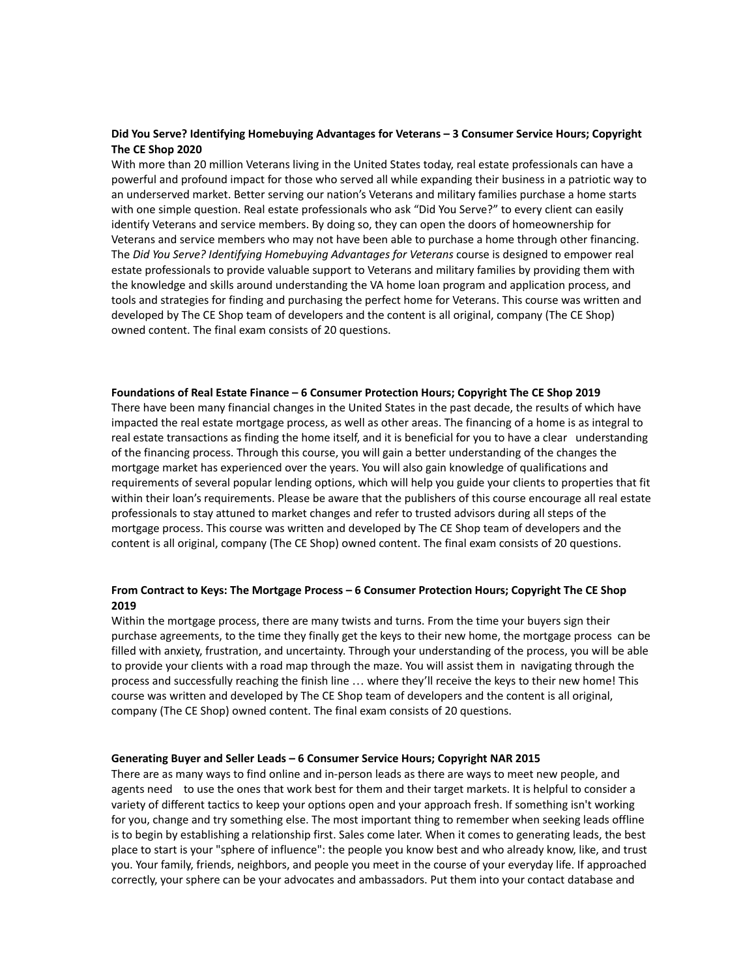### **Did You Serve? Identifying Homebuying Advantages for Veterans – 3 Consumer Service Hours; Copyright The CE Shop 2020**

With more than 20 million Veterans living in the United States today, real estate professionals can have a powerful and profound impact for those who served all while expanding their business in a patriotic way to an underserved market. Better serving our nation's Veterans and military families purchase a home starts with one simple question. Real estate professionals who ask "Did You Serve?" to every client can easily identify Veterans and service members. By doing so, they can open the doors of homeownership for Veterans and service members who may not have been able to purchase a home through other financing. The *Did You Serve? Identifying Homebuying Advantages for Veterans* course is designed to empower real estate professionals to provide valuable support to Veterans and military families by providing them with the knowledge and skills around understanding the VA home loan program and application process, and tools and strategies for finding and purchasing the perfect home for Veterans. This course was written and developed by The CE Shop team of developers and the content is all original, company (The CE Shop) owned content. The final exam consists of 20 questions.

#### **Foundations of Real Estate Finance – 6 Consumer Protection Hours; Copyright The CE Shop 2019**

There have been many financial changes in the United States in the past decade, the results of which have impacted the real estate mortgage process, as well as other areas. The financing of a home is as integral to real estate transactions as finding the home itself, and it is beneficial for you to have a clear understanding of the financing process. Through this course, you will gain a better understanding of the changes the mortgage market has experienced over the years. You will also gain knowledge of qualifications and requirements of several popular lending options, which will help you guide your clients to properties that fit within their loan's requirements. Please be aware that the publishers of this course encourage all real estate professionals to stay attuned to market changes and refer to trusted advisors during all steps of the mortgage process. This course was written and developed by The CE Shop team of developers and the content is all original, company (The CE Shop) owned content. The final exam consists of 20 questions.

# **From Contract to Keys: The Mortgage Process – 6 Consumer Protection Hours; Copyright The CE Shop 2019**

Within the mortgage process, there are many twists and turns. From the time your buyers sign their purchase agreements, to the time they finally get the keys to their new home, the mortgage process can be filled with anxiety, frustration, and uncertainty. Through your understanding of the process, you will be able to provide your clients with a road map through the maze. You will assist them in navigating through the process and successfully reaching the finish line … where they'll receive the keys to their new home! This course was written and developed by The CE Shop team of developers and the content is all original, company (The CE Shop) owned content. The final exam consists of 20 questions.

#### **Generating Buyer and Seller Leads – 6 Consumer Service Hours; Copyright NAR 2015**

There are as many ways to find online and in-person leads as there are ways to meet new people, and agents need to use the ones that work best for them and their target markets. It is helpful to consider a variety of different tactics to keep your options open and your approach fresh. If something isn't working for you, change and try something else. The most important thing to remember when seeking leads offline is to begin by establishing a relationship first. Sales come later. When it comes to generating leads, the best place to start is your "sphere of influence": the people you know best and who already know, like, and trust you. Your family, friends, neighbors, and people you meet in the course of your everyday life. If approached correctly, your sphere can be your advocates and ambassadors. Put them into your contact database and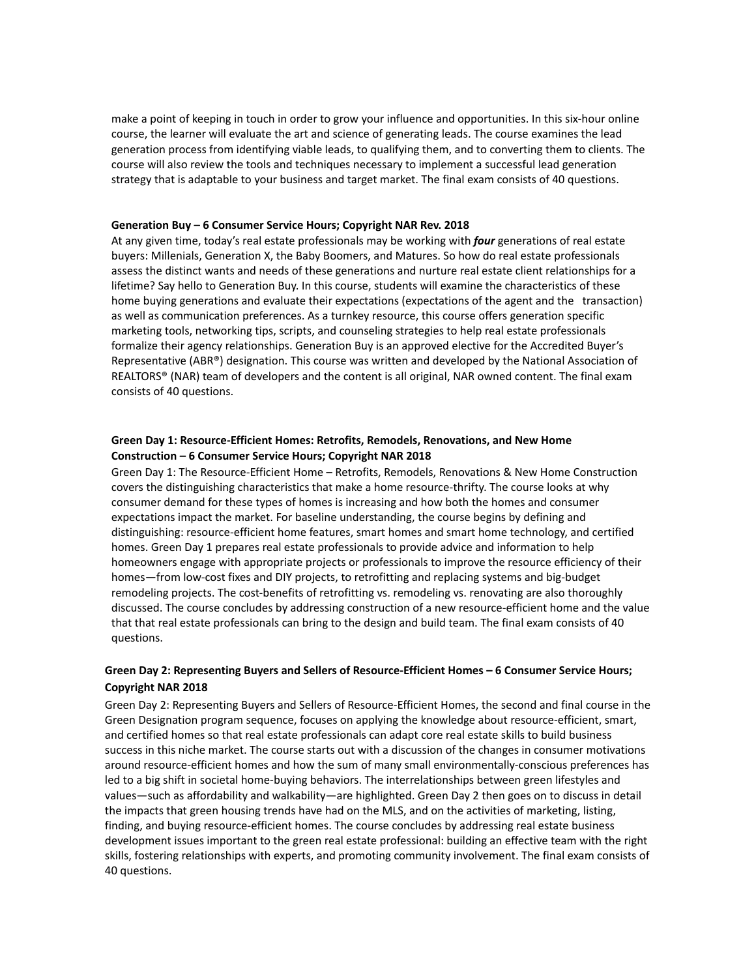make a point of keeping in touch in order to grow your influence and opportunities. In this six-hour online course, the learner will evaluate the art and science of generating leads. The course examines the lead generation process from identifying viable leads, to qualifying them, and to converting them to clients. The course will also review the tools and techniques necessary to implement a successful lead generation strategy that is adaptable to your business and target market. The final exam consists of 40 questions.

#### **Generation Buy – 6 Consumer Service Hours; Copyright NAR Rev. 2018**

At any given time, today's real estate professionals may be working with *four* generations of real estate buyers: Millenials, Generation X, the Baby Boomers, and Matures. So how do real estate professionals assess the distinct wants and needs of these generations and nurture real estate client relationships for a lifetime? Say hello to Generation Buy. In this course, students will examine the characteristics of these home buying generations and evaluate their expectations (expectations of the agent and the transaction) as well as communication preferences. As a turnkey resource, this course offers generation specific marketing tools, networking tips, scripts, and counseling strategies to help real estate professionals formalize their agency relationships. Generation Buy is an approved elective for the Accredited Buyer's Representative (ABR®) designation. This course was written and developed by the National Association of REALTORS® (NAR) team of developers and the content is all original, NAR owned content. The final exam consists of 40 questions.

# **Green Day 1: Resource-Efficient Homes: Retrofits, Remodels, Renovations, and New Home Construction – 6 Consumer Service Hours; Copyright NAR 2018**

Green Day 1: The Resource-Efficient Home – Retrofits, Remodels, Renovations & New Home Construction covers the distinguishing characteristics that make a home resource-thrifty. The course looks at why consumer demand for these types of homes is increasing and how both the homes and consumer expectations impact the market. For baseline understanding, the course begins by defining and distinguishing: resource-efficient home features, smart homes and smart home technology, and certified homes. Green Day 1 prepares real estate professionals to provide advice and information to help homeowners engage with appropriate projects or professionals to improve the resource efficiency of their homes—from low-cost fixes and DIY projects, to retrofitting and replacing systems and big-budget remodeling projects. The cost-benefits of retrofitting vs. remodeling vs. renovating are also thoroughly discussed. The course concludes by addressing construction of a new resource-efficient home and the value that that real estate professionals can bring to the design and build team. The final exam consists of 40 questions.

# **Green Day 2: Representing Buyers and Sellers of Resource-Efficient Homes – 6 Consumer Service Hours; Copyright NAR 2018**

Green Day 2: Representing Buyers and Sellers of Resource-Efficient Homes, the second and final course in the Green Designation program sequence, focuses on applying the knowledge about resource-efficient, smart, and certified homes so that real estate professionals can adapt core real estate skills to build business success in this niche market. The course starts out with a discussion of the changes in consumer motivations around resource-efficient homes and how the sum of many small environmentally-conscious preferences has led to a big shift in societal home-buying behaviors. The interrelationships between green lifestyles and values—such as affordability and walkability—are highlighted. Green Day 2 then goes on to discuss in detail the impacts that green housing trends have had on the MLS, and on the activities of marketing, listing, finding, and buying resource-efficient homes. The course concludes by addressing real estate business development issues important to the green real estate professional: building an effective team with the right skills, fostering relationships with experts, and promoting community involvement. The final exam consists of 40 questions.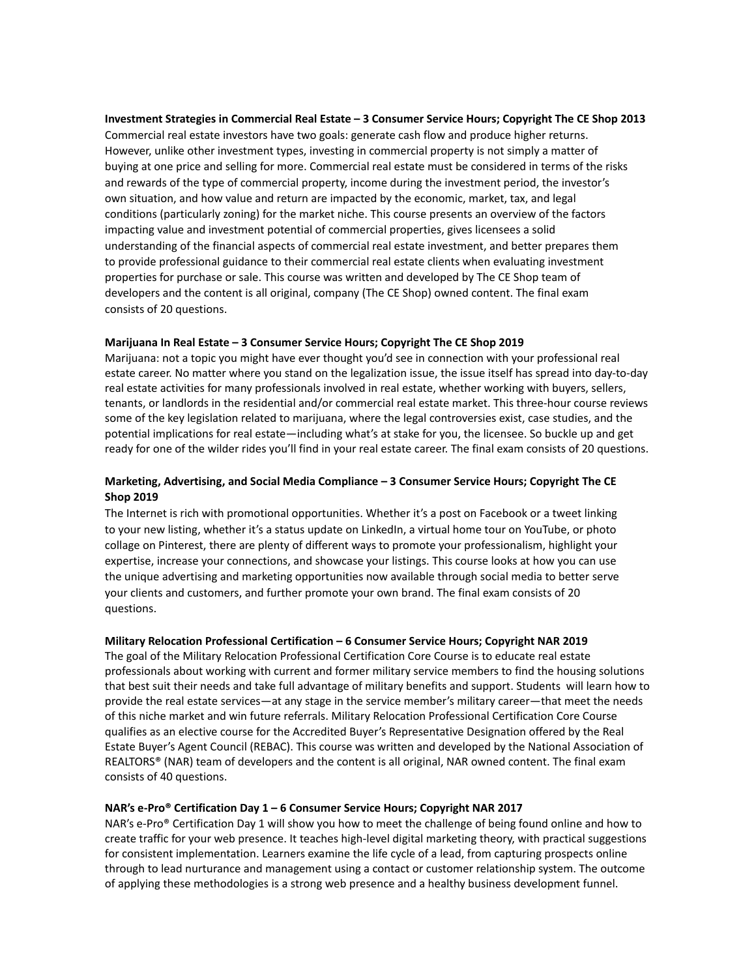### **Investment Strategies in Commercial Real Estate – 3 Consumer Service Hours; Copyright The CE Shop 2013**

Commercial real estate investors have two goals: generate cash flow and produce higher returns. However, unlike other investment types, investing in commercial property is not simply a matter of buying at one price and selling for more. Commercial real estate must be considered in terms of the risks and rewards of the type of commercial property, income during the investment period, the investor's own situation, and how value and return are impacted by the economic, market, tax, and legal conditions (particularly zoning) for the market niche. This course presents an overview of the factors impacting value and investment potential of commercial properties, gives licensees a solid understanding of the financial aspects of commercial real estate investment, and better prepares them to provide professional guidance to their commercial real estate clients when evaluating investment properties for purchase or sale. This course was written and developed by The CE Shop team of developers and the content is all original, company (The CE Shop) owned content. The final exam consists of 20 questions.

### **Marijuana In Real Estate – 3 Consumer Service Hours; Copyright The CE Shop 2019**

Marijuana: not a topic you might have ever thought you'd see in connection with your professional real estate career. No matter where you stand on the legalization issue, the issue itself has spread into day-to-day real estate activities for many professionals involved in real estate, whether working with buyers, sellers, tenants, or landlords in the residential and/or commercial real estate market. This three-hour course reviews some of the key legislation related to marijuana, where the legal controversies exist, case studies, and the potential implications for real estate—including what's at stake for you, the licensee. So buckle up and get ready for one of the wilder rides you'll find in your real estate career. The final exam consists of 20 questions.

# **Marketing, Advertising, and Social Media Compliance – 3 Consumer Service Hours; Copyright The CE Shop 2019**

The Internet is rich with promotional opportunities. Whether it's a post on Facebook or a tweet linking to your new listing, whether it's a status update on LinkedIn, a virtual home tour on YouTube, or photo collage on Pinterest, there are plenty of different ways to promote your professionalism, highlight your expertise, increase your connections, and showcase your listings. This course looks at how you can use the unique advertising and marketing opportunities now available through social media to better serve your clients and customers, and further promote your own brand. The final exam consists of 20 questions.

### **Military Relocation Professional Certification – 6 Consumer Service Hours; Copyright NAR 2019**

The goal of the Military Relocation Professional Certification Core Course is to educate real estate professionals about working with current and former military service members to find the housing solutions that best suit their needs and take full advantage of military benefits and support. Students will learn how to provide the real estate services—at any stage in the service member's military career—that meet the needs of this niche market and win future referrals. Military Relocation Professional Certification Core Course qualifies as an elective course for the Accredited Buyer's Representative Designation offered by the Real Estate Buyer's Agent Council (REBAC). This course was written and developed by the National Association of REALTORS® (NAR) team of developers and the content is all original, NAR owned content. The final exam consists of 40 questions.

# **NAR's e-Pro® Certification Day 1 – 6 Consumer Service Hours; Copyright NAR 2017**

NAR's e-Pro® Certification Day 1 will show you how to meet the challenge of being found online and how to create traffic for your web presence. It teaches high-level digital marketing theory, with practical suggestions for consistent implementation. Learners examine the life cycle of a lead, from capturing prospects online through to lead nurturance and management using a contact or customer relationship system. The outcome of applying these methodologies is a strong web presence and a healthy business development funnel.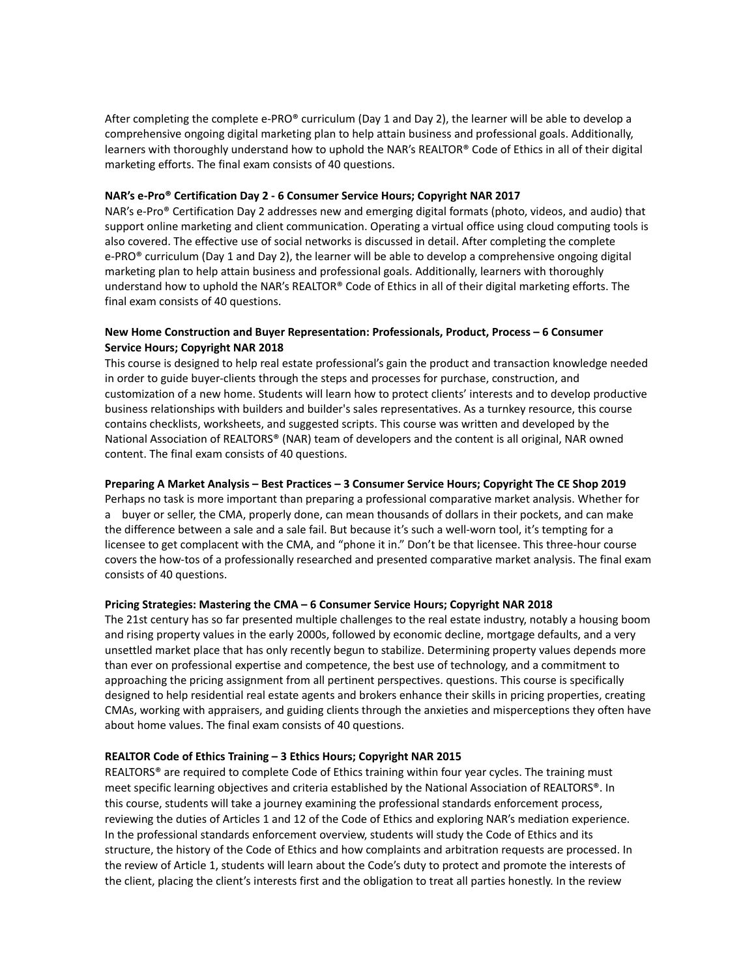After completing the complete e-PRO® curriculum (Day 1 and Day 2), the learner will be able to develop a comprehensive ongoing digital marketing plan to help attain business and professional goals. Additionally, learners with thoroughly understand how to uphold the NAR's REALTOR® Code of Ethics in all of their digital marketing efforts. The final exam consists of 40 questions.

### **NAR's e-Pro® Certification Day 2 - 6 Consumer Service Hours; Copyright NAR 2017**

NAR's e-Pro® Certification Day 2 addresses new and emerging digital formats (photo, videos, and audio) that support online marketing and client communication. Operating a virtual office using cloud computing tools is also covered. The effective use of social networks is discussed in detail. After completing the complete e-PRO® curriculum (Day 1 and Day 2), the learner will be able to develop a comprehensive ongoing digital marketing plan to help attain business and professional goals. Additionally, learners with thoroughly understand how to uphold the NAR's REALTOR® Code of Ethics in all of their digital marketing efforts. The final exam consists of 40 questions.

# **New Home Construction and Buyer Representation: Professionals, Product, Process – 6 Consumer Service Hours; Copyright NAR 2018**

This course is designed to help real estate professional's gain the product and transaction knowledge needed in order to guide buyer-clients through the steps and processes for purchase, construction, and customization of a new home. Students will learn how to protect clients' interests and to develop productive business relationships with builders and builder's sales representatives. As a turnkey resource, this course contains checklists, worksheets, and suggested scripts. This course was written and developed by the National Association of REALTORS® (NAR) team of developers and the content is all original, NAR owned content. The final exam consists of 40 questions.

## **Preparing A Market Analysis – Best Practices – 3 Consumer Service Hours; Copyright The CE Shop 2019**

Perhaps no task is more important than preparing a professional comparative market analysis. Whether for a buyer or seller, the CMA, properly done, can mean thousands of dollars in their pockets, and can make the difference between a sale and a sale fail. But because it's such a well-worn tool, it's tempting for a licensee to get complacent with the CMA, and "phone it in." Don't be that licensee. This three-hour course covers the how-tos of a professionally researched and presented comparative market analysis. The final exam consists of 40 questions.

# **Pricing Strategies: Mastering the CMA – 6 Consumer Service Hours; Copyright NAR 2018**

The 21st century has so far presented multiple challenges to the real estate industry, notably a housing boom and rising property values in the early 2000s, followed by economic decline, mortgage defaults, and a very unsettled market place that has only recently begun to stabilize. Determining property values depends more than ever on professional expertise and competence, the best use of technology, and a commitment to approaching the pricing assignment from all pertinent perspectives. questions. This course is specifically designed to help residential real estate agents and brokers enhance their skills in pricing properties, creating CMAs, working with appraisers, and guiding clients through the anxieties and misperceptions they often have about home values. The final exam consists of 40 questions.

# **REALTOR Code of Ethics Training – 3 Ethics Hours; Copyright NAR 2015**

REALTORS® are required to complete Code of Ethics training within four year cycles. The training must meet specific learning objectives and criteria established by the National Association of REALTORS®. In this course, students will take a journey examining the professional standards enforcement process, reviewing the duties of Articles 1 and 12 of the Code of Ethics and exploring NAR's mediation experience. In the professional standards enforcement overview, students will study the Code of Ethics and its structure, the history of the Code of Ethics and how complaints and arbitration requests are processed. In the review of Article 1, students will learn about the Code's duty to protect and promote the interests of the client, placing the client's interests first and the obligation to treat all parties honestly. In the review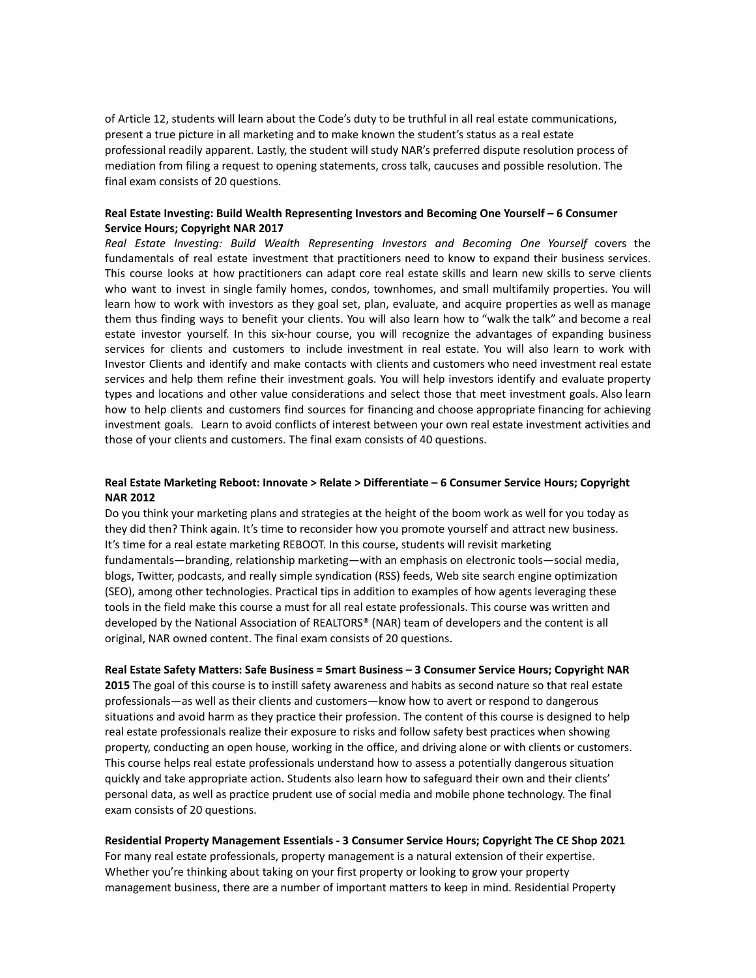of Article 12, students will learn about the Code's duty to be truthful in all real estate communications, present a true picture in all marketing and to make known the student's status as a real estate professional readily apparent. Lastly, the student will study NAR's preferred dispute resolution process of mediation from filing a request to opening statements, cross talk, caucuses and possible resolution. The final exam consists of 20 questions.

## **Real Estate Investing: Build Wealth Representing Investors and Becoming One Yourself – 6 Consumer Service Hours; Copyright NAR 2017**

*Real Estate Investing: Build Wealth Representing Investors and Becoming One Yourself* covers the fundamentals of real estate investment that practitioners need to know to expand their business services. This course looks at how practitioners can adapt core real estate skills and learn new skills to serve clients who want to invest in single family homes, condos, townhomes, and small multifamily properties. You will learn how to work with investors as they goal set, plan, evaluate, and acquire properties as well as manage them thus finding ways to benefit your clients. You will also learn how to "walk the talk" and become a real estate investor yourself. In this six-hour course, you will recognize the advantages of expanding business services for clients and customers to include investment in real estate. You will also learn to work with Investor Clients and identify and make contacts with clients and customers who need investment real estate services and help them refine their investment goals. You will help investors identify and evaluate property types and locations and other value considerations and select those that meet investment goals. Also learn how to help clients and customers find sources for financing and choose appropriate financing for achieving investment goals. Learn to avoid conflicts of interest between your own real estate investment activities and those of your clients and customers. The final exam consists of 40 questions.

# **Real Estate Marketing Reboot: Innovate > Relate > Differentiate – 6 Consumer Service Hours; Copyright NAR 2012**

Do you think your marketing plans and strategies at the height of the boom work as well for you today as they did then? Think again. It's time to reconsider how you promote yourself and attract new business. It's time for a real estate marketing REBOOT. In this course, students will revisit marketing fundamentals—branding, relationship marketing—with an emphasis on electronic tools—social media, blogs, Twitter, podcasts, and really simple syndication (RSS) feeds, Web site search engine optimization (SEO), among other technologies. Practical tips in addition to examples of how agents leveraging these tools in the field make this course a must for all real estate professionals. This course was written and developed by the National Association of REALTORS® (NAR) team of developers and the content is all original, NAR owned content. The final exam consists of 20 questions.

## **Real Estate Safety Matters: Safe Business = Smart Business – 3 Consumer Service Hours; Copyright NAR**

**2015** The goal of this course is to instill safety awareness and habits as second nature so that real estate professionals—as well as their clients and customers—know how to avert or respond to dangerous situations and avoid harm as they practice their profession. The content of this course is designed to help real estate professionals realize their exposure to risks and follow safety best practices when showing property, conducting an open house, working in the office, and driving alone or with clients or customers. This course helps real estate professionals understand how to assess a potentially dangerous situation quickly and take appropriate action. Students also learn how to safeguard their own and their clients' personal data, as well as practice prudent use of social media and mobile phone technology. The final exam consists of 20 questions.

### **Residential Property Management Essentials - 3 Consumer Service Hours; Copyright The CE Shop 2021**

For many real estate professionals, property management is a natural extension of their expertise. Whether you're thinking about taking on your first property or looking to grow your property management business, there are a number of important matters to keep in mind. Residential Property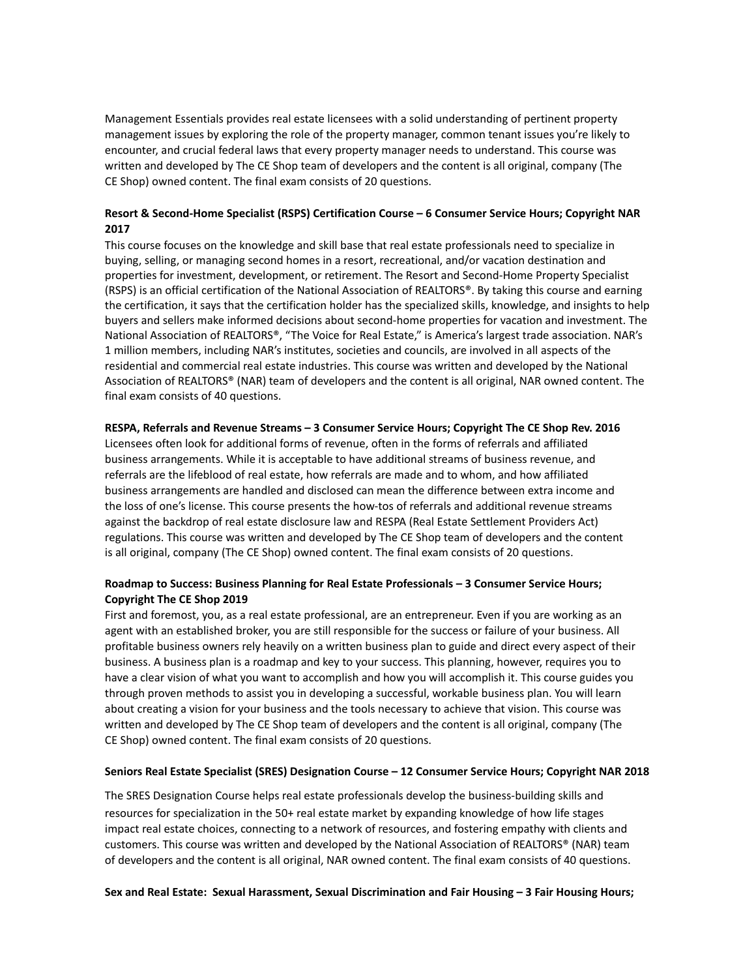Management Essentials provides real estate licensees with a solid understanding of pertinent property management issues by exploring the role of the property manager, common tenant issues you're likely to encounter, and crucial federal laws that every property manager needs to understand. This course was written and developed by The CE Shop team of developers and the content is all original, company (The CE Shop) owned content. The final exam consists of 20 questions.

# **Resort & Second-Home Specialist (RSPS) Certification Course – 6 Consumer Service Hours; Copyright NAR 2017**

This course focuses on the knowledge and skill base that real estate professionals need to specialize in buying, selling, or managing second homes in a resort, recreational, and/or vacation destination and properties for investment, development, or retirement. The Resort and Second-Home Property Specialist (RSPS) is an official certification of the National Association of REALTORS®. By taking this course and earning the certification, it says that the certification holder has the specialized skills, knowledge, and insights to help buyers and sellers make informed decisions about second-home properties for vacation and investment. The National Association of REALTORS®, "The Voice for Real Estate," is America's largest trade association. NAR's 1 million members, including NAR's institutes, societies and councils, are involved in all aspects of the residential and commercial real estate industries. This course was written and developed by the National Association of REALTORS® (NAR) team of developers and the content is all original, NAR owned content. The final exam consists of 40 questions.

## **RESPA, Referrals and Revenue Streams – 3 Consumer Service Hours; Copyright The CE Shop Rev. 2016**

Licensees often look for additional forms of revenue, often in the forms of referrals and affiliated business arrangements. While it is acceptable to have additional streams of business revenue, and referrals are the lifeblood of real estate, how referrals are made and to whom, and how affiliated business arrangements are handled and disclosed can mean the difference between extra income and the loss of one's license. This course presents the how-tos of referrals and additional revenue streams against the backdrop of real estate disclosure law and RESPA (Real Estate Settlement Providers Act) regulations. This course was written and developed by The CE Shop team of developers and the content is all original, company (The CE Shop) owned content. The final exam consists of 20 questions.

# **Roadmap to Success: Business Planning for Real Estate Professionals – 3 Consumer Service Hours; Copyright The CE Shop 2019**

First and foremost, you, as a real estate professional, are an entrepreneur. Even if you are working as an agent with an established broker, you are still responsible for the success or failure of your business. All profitable business owners rely heavily on a written business plan to guide and direct every aspect of their business. A business plan is a roadmap and key to your success. This planning, however, requires you to have a clear vision of what you want to accomplish and how you will accomplish it. This course guides you through proven methods to assist you in developing a successful, workable business plan. You will learn about creating a vision for your business and the tools necessary to achieve that vision. This course was written and developed by The CE Shop team of developers and the content is all original, company (The CE Shop) owned content. The final exam consists of 20 questions.

### **Seniors Real Estate Specialist (SRES) Designation Course – 12 Consumer Service Hours; Copyright NAR 2018**

The SRES Designation Course helps real estate professionals develop the business-building skills and resources for specialization in the 50+ real estate market by expanding knowledge of how life stages impact real estate choices, connecting to a network of resources, and fostering empathy with clients and customers. This course was written and developed by the National Association of REALTORS® (NAR) team of developers and the content is all original, NAR owned content. The final exam consists of 40 questions.

### **Sex and Real Estate: Sexual Harassment, Sexual Discrimination and Fair Housing – 3 Fair Housing Hours;**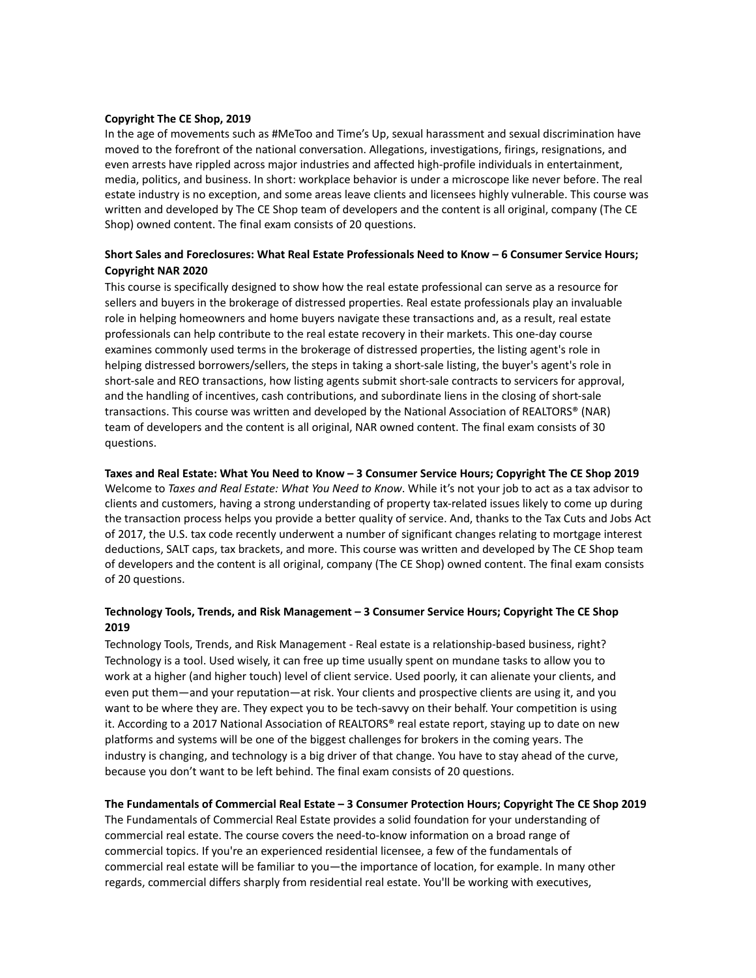### **Copyright The CE Shop, 2019**

In the age of movements such as #MeToo and Time's Up, sexual harassment and sexual discrimination have moved to the forefront of the national conversation. Allegations, investigations, firings, resignations, and even arrests have rippled across major industries and affected high-profile individuals in entertainment, media, politics, and business. In short: workplace behavior is under a microscope like never before. The real estate industry is no exception, and some areas leave clients and licensees highly vulnerable. This course was written and developed by The CE Shop team of developers and the content is all original, company (The CE Shop) owned content. The final exam consists of 20 questions.

# **Short Sales and Foreclosures: What Real Estate Professionals Need to Know – 6 Consumer Service Hours; Copyright NAR 2020**

This course is specifically designed to show how the real estate professional can serve as a resource for sellers and buyers in the brokerage of distressed properties. Real estate professionals play an invaluable role in helping homeowners and home buyers navigate these transactions and, as a result, real estate professionals can help contribute to the real estate recovery in their markets. This one-day course examines commonly used terms in the brokerage of distressed properties, the listing agent's role in helping distressed borrowers/sellers, the steps in taking a short-sale listing, the buyer's agent's role in short-sale and REO transactions, how listing agents submit short-sale contracts to servicers for approval, and the handling of incentives, cash contributions, and subordinate liens in the closing of short-sale transactions. This course was written and developed by the National Association of REALTORS® (NAR) team of developers and the content is all original, NAR owned content. The final exam consists of 30 questions.

### Taxes and Real Estate: What You Need to Know - 3 Consumer Service Hours; Copyright The CE Shop 2019

Welcome to *Taxes and Real Estate: What You Need to Know*. While it's not your job to act as a tax advisor to clients and customers, having a strong understanding of property tax-related issues likely to come up during the transaction process helps you provide a better quality of service. And, thanks to the Tax Cuts and Jobs Act of 2017, the U.S. tax code recently underwent a number of significant changes relating to mortgage interest deductions, SALT caps, tax brackets, and more. This course was written and developed by The CE Shop team of developers and the content is all original, company (The CE Shop) owned content. The final exam consists of 20 questions.

# **Technology Tools, Trends, and Risk Management – 3 Consumer Service Hours; Copyright The CE Shop 2019**

Technology Tools, Trends, and Risk Management - Real estate is a relationship-based business, right? Technology is a tool. Used wisely, it can free up time usually spent on mundane tasks to allow you to work at a higher (and higher touch) level of client service. Used poorly, it can alienate your clients, and even put them—and your reputation—at risk. Your clients and prospective clients are using it, and you want to be where they are. They expect you to be tech-savvy on their behalf. Your competition is using it. According to a 2017 National Association of REALTORS® real estate report, staying up to date on new platforms and systems will be one of the biggest challenges for brokers in the coming years. The industry is changing, and technology is a big driver of that change. You have to stay ahead of the curve, because you don't want to be left behind. The final exam consists of 20 questions.

#### **The Fundamentals of Commercial Real Estate – 3 Consumer Protection Hours; Copyright The CE Shop 2019**

The Fundamentals of Commercial Real Estate provides a solid foundation for your understanding of commercial real estate. The course covers the need-to-know information on a broad range of commercial topics. If you're an experienced residential licensee, a few of the fundamentals of commercial real estate will be familiar to you—the importance of location, for example. In many other regards, commercial differs sharply from residential real estate. You'll be working with executives,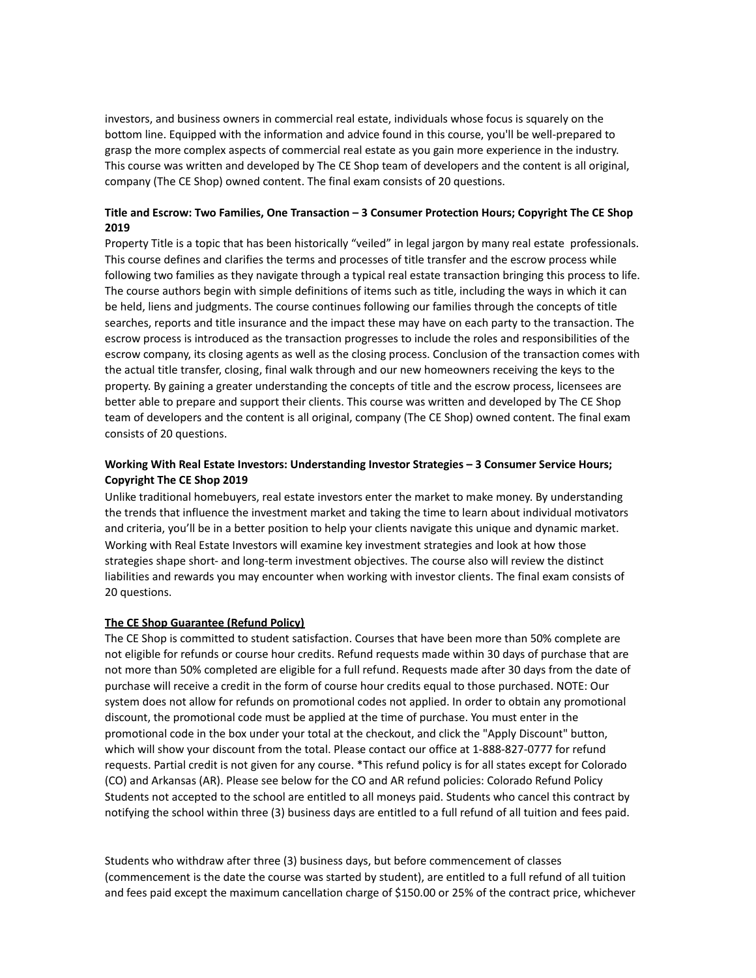investors, and business owners in commercial real estate, individuals whose focus is squarely on the bottom line. Equipped with the information and advice found in this course, you'll be well-prepared to grasp the more complex aspects of commercial real estate as you gain more experience in the industry. This course was written and developed by The CE Shop team of developers and the content is all original, company (The CE Shop) owned content. The final exam consists of 20 questions.

## **Title and Escrow: Two Families, One Transaction – 3 Consumer Protection Hours; Copyright The CE Shop 2019**

Property Title is a topic that has been historically "veiled" in legal jargon by many real estate professionals. This course defines and clarifies the terms and processes of title transfer and the escrow process while following two families as they navigate through a typical real estate transaction bringing this process to life. The course authors begin with simple definitions of items such as title, including the ways in which it can be held, liens and judgments. The course continues following our families through the concepts of title searches, reports and title insurance and the impact these may have on each party to the transaction. The escrow process is introduced as the transaction progresses to include the roles and responsibilities of the escrow company, its closing agents as well as the closing process. Conclusion of the transaction comes with the actual title transfer, closing, final walk through and our new homeowners receiving the keys to the property. By gaining a greater understanding the concepts of title and the escrow process, licensees are better able to prepare and support their clients. This course was written and developed by The CE Shop team of developers and the content is all original, company (The CE Shop) owned content. The final exam consists of 20 questions.

# **Working With Real Estate Investors: Understanding Investor Strategies – 3 Consumer Service Hours; Copyright The CE Shop 2019**

Unlike traditional homebuyers, real estate investors enter the market to make money. By understanding the trends that influence the investment market and taking the time to learn about individual motivators and criteria, you'll be in a better position to help your clients navigate this unique and dynamic market. Working with Real Estate Investors will examine key investment strategies and look at how those strategies shape short- and long-term investment objectives. The course also will review the distinct liabilities and rewards you may encounter when working with investor clients. The final exam consists of 20 questions.

### **The CE Shop Guarantee (Refund Policy)**

The CE Shop is committed to student satisfaction. Courses that have been more than 50% complete are not eligible for refunds or course hour credits. Refund requests made within 30 days of purchase that are not more than 50% completed are eligible for a full refund. Requests made after 30 days from the date of purchase will receive a credit in the form of course hour credits equal to those purchased. NOTE: Our system does not allow for refunds on promotional codes not applied. In order to obtain any promotional discount, the promotional code must be applied at the time of purchase. You must enter in the promotional code in the box under your total at the checkout, and click the "Apply Discount" button, which will show your discount from the total. Please contact our office at 1-888-827-0777 for refund requests. Partial credit is not given for any course. \*This refund policy is for all states except for Colorado (CO) and Arkansas (AR). Please see below for the CO and AR refund policies: Colorado Refund Policy Students not accepted to the school are entitled to all moneys paid. Students who cancel this contract by notifying the school within three (3) business days are entitled to a full refund of all tuition and fees paid.

Students who withdraw after three (3) business days, but before commencement of classes (commencement is the date the course was started by student), are entitled to a full refund of all tuition and fees paid except the maximum cancellation charge of \$150.00 or 25% of the contract price, whichever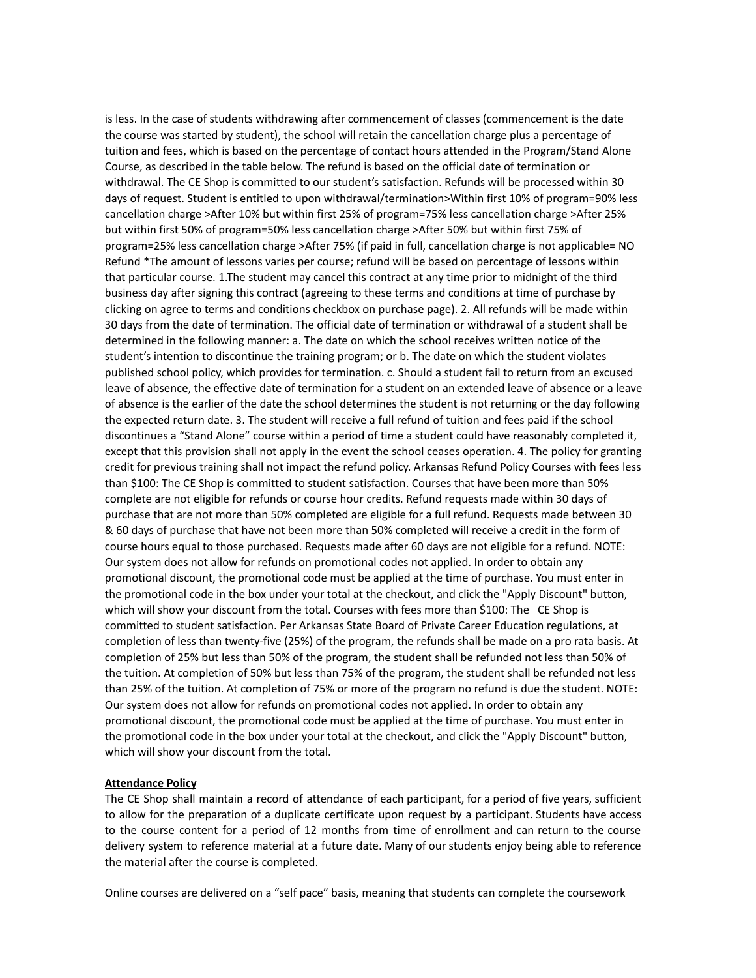is less. In the case of students withdrawing after commencement of classes (commencement is the date the course was started by student), the school will retain the cancellation charge plus a percentage of tuition and fees, which is based on the percentage of contact hours attended in the Program/Stand Alone Course, as described in the table below. The refund is based on the official date of termination or withdrawal. The CE Shop is committed to our student's satisfaction. Refunds will be processed within 30 days of request. Student is entitled to upon withdrawal/termination>Within first 10% of program=90% less cancellation charge >After 10% but within first 25% of program=75% less cancellation charge >After 25% but within first 50% of program=50% less cancellation charge >After 50% but within first 75% of program=25% less cancellation charge >After 75% (if paid in full, cancellation charge is not applicable= NO Refund \*The amount of lessons varies per course; refund will be based on percentage of lessons within that particular course. 1.The student may cancel this contract at any time prior to midnight of the third business day after signing this contract (agreeing to these terms and conditions at time of purchase by clicking on agree to terms and conditions checkbox on purchase page). 2. All refunds will be made within 30 days from the date of termination. The official date of termination or withdrawal of a student shall be determined in the following manner: a. The date on which the school receives written notice of the student's intention to discontinue the training program; or b. The date on which the student violates published school policy, which provides for termination. c. Should a student fail to return from an excused leave of absence, the effective date of termination for a student on an extended leave of absence or a leave of absence is the earlier of the date the school determines the student is not returning or the day following the expected return date. 3. The student will receive a full refund of tuition and fees paid if the school discontinues a "Stand Alone" course within a period of time a student could have reasonably completed it, except that this provision shall not apply in the event the school ceases operation. 4. The policy for granting credit for previous training shall not impact the refund policy. Arkansas Refund Policy Courses with fees less than \$100: The CE Shop is committed to student satisfaction. Courses that have been more than 50% complete are not eligible for refunds or course hour credits. Refund requests made within 30 days of purchase that are not more than 50% completed are eligible for a full refund. Requests made between 30 & 60 days of purchase that have not been more than 50% completed will receive a credit in the form of course hours equal to those purchased. Requests made after 60 days are not eligible for a refund. NOTE: Our system does not allow for refunds on promotional codes not applied. In order to obtain any promotional discount, the promotional code must be applied at the time of purchase. You must enter in the promotional code in the box under your total at the checkout, and click the "Apply Discount" button, which will show your discount from the total. Courses with fees more than \$100: The CE Shop is committed to student satisfaction. Per Arkansas State Board of Private Career Education regulations, at completion of less than twenty-five (25%) of the program, the refunds shall be made on a pro rata basis. At completion of 25% but less than 50% of the program, the student shall be refunded not less than 50% of the tuition. At completion of 50% but less than 75% of the program, the student shall be refunded not less than 25% of the tuition. At completion of 75% or more of the program no refund is due the student. NOTE: Our system does not allow for refunds on promotional codes not applied. In order to obtain any promotional discount, the promotional code must be applied at the time of purchase. You must enter in the promotional code in the box under your total at the checkout, and click the "Apply Discount" button, which will show your discount from the total.

### **Attendance Policy**

The CE Shop shall maintain a record of attendance of each participant, for a period of five years, sufficient to allow for the preparation of a duplicate certificate upon request by a participant. Students have access to the course content for a period of 12 months from time of enrollment and can return to the course delivery system to reference material at a future date. Many of our students enjoy being able to reference the material after the course is completed.

Online courses are delivered on a "self pace" basis, meaning that students can complete the coursework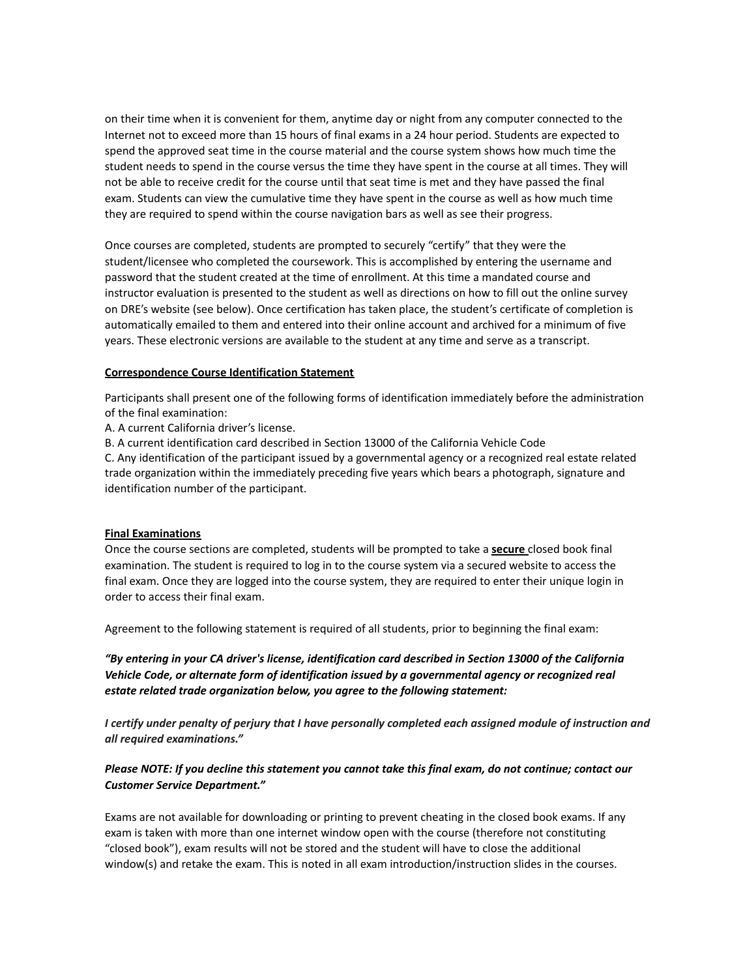on their time when it is convenient for them, anytime day or night from any computer connected to the Internet not to exceed more than 15 hours of final exams in a 24 hour period. Students are expected to spend the approved seat time in the course material and the course system shows how much time the student needs to spend in the course versus the time they have spent in the course at all times. They will not be able to receive credit for the course until that seat time is met and they have passed the final exam. Students can view the cumulative time they have spent in the course as well as how much time they are required to spend within the course navigation bars as well as see their progress.

Once courses are completed, students are prompted to securely "certify" that they were the student/licensee who completed the coursework. This is accomplished by entering the username and password that the student created at the time of enrollment. At this time a mandated course and instructor evaluation is presented to the student as well as directions on how to fill out the online survey on DRE's website (see below). Once certification has taken place, the student's certificate of completion is automatically emailed to them and entered into their online account and archived for a minimum of five years. These electronic versions are available to the student at any time and serve as a transcript.

## **Correspondence Course Identification Statement**

Participants shall present one of the following forms of identification immediately before the administration of the final examination:

A. A current California driver's license.

B. A current identification card described in Section 13000 of the California Vehicle Code

C. Any identification of the participant issued by a governmental agency or a recognized real estate related trade organization within the immediately preceding five years which bears a photograph, signature and identification number of the participant.

# **Final Examinations**

Once the course sections are completed, students will be prompted to take a **secure** closed book final examination. The student is required to log in to the course system via a secured website to access the final exam. Once they are logged into the course system, they are required to enter their unique login in order to access their final exam.

Agreement to the following statement is required of all students, prior to beginning the final exam:

*"By entering in your CA driver's license, identification card described in Section 13000 of the California Vehicle Code, or alternate form of identification issued by a governmental agency or recognized real estate related trade organization below, you agree to the following statement:*

I certify under penalty of perjury that I have personally completed each assigned module of instruction and *all required examinations."*

# Please NOTE: If you decline this statement you cannot take this final exam, do not continue; contact our *Customer Service Department."*

Exams are not available for downloading or printing to prevent cheating in the closed book exams. If any exam is taken with more than one internet window open with the course (therefore not constituting "closed book"), exam results will not be stored and the student will have to close the additional window(s) and retake the exam. This is noted in all exam introduction/instruction slides in the courses.